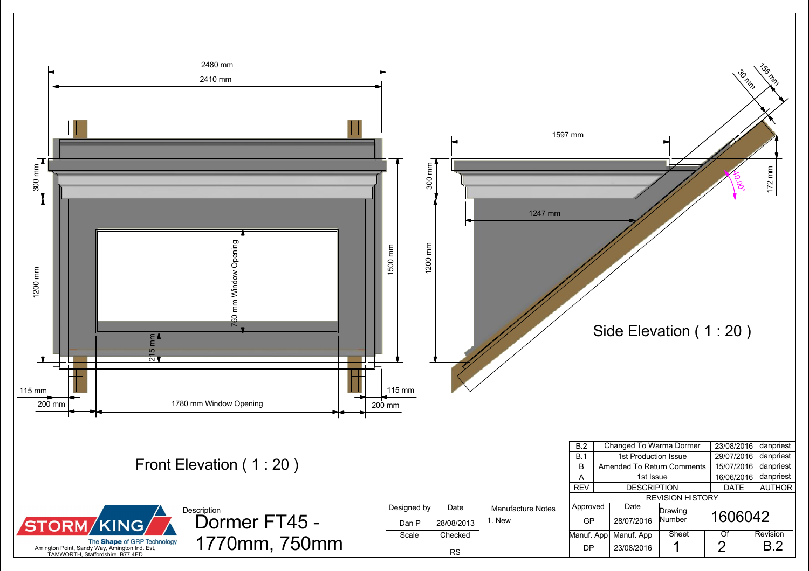